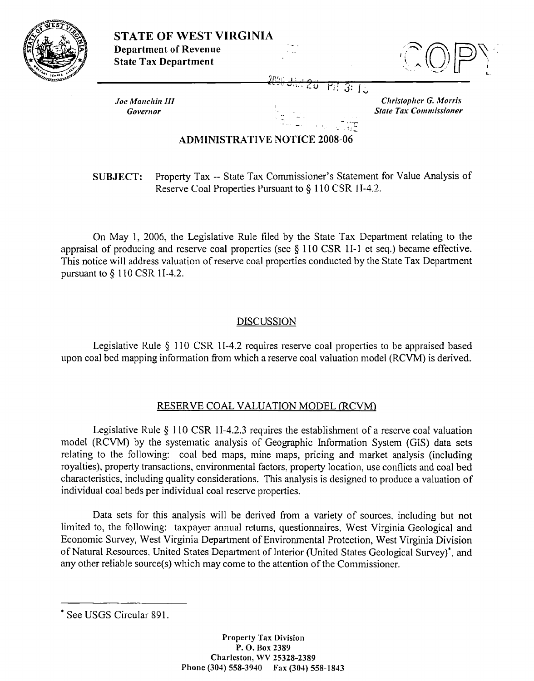|  | <b>STATE OF WEST VIRGINIA</b><br><b>Department of Revenue</b><br><b>State Tax Department</b> |                          |                                                               |
|--|----------------------------------------------------------------------------------------------|--------------------------|---------------------------------------------------------------|
|  | <b>Joe Manchin III</b><br>Governor                                                           | $\overline{\phantom{a}}$ | <b>Christopher G. Morris</b><br><b>State Tax Commissioner</b> |

## **ADMINISTRATIVE NOTICE 2008-06**

Property Tax -- State Tax Commissioner's Statement for Value Analysis of **SUBJECT:** Reserve Coal Properties Pursuant to § 110 CSR 1I-4.2.

On May 1, 2006, the Legislative Rule filed by the State Tax Department relating to the appraisal of producing and reserve coal properties (see  $\S 110$  CSR 1I-1 et seq.) became effective. This notice will address valuation of reserve coal properties conducted by the State Tax Department pursuant to  $\S$  110 CSR 1I-4.2.

## **DISCUSSION**

Legislative Rule § 110 CSR 1I-4.2 requires reserve coal properties to be appraised based upon coal bed mapping information from which a reserve coal valuation model (RCVM) is derived.

## RESERVE COAL VALUATION MODEL (RCVM)

Legislative Rule  $\S$  110 CSR 1I-4.2.3 requires the establishment of a reserve coal valuation model (RCVM) by the systematic analysis of Geographic Information System (GIS) data sets relating to the following: coal bed maps, mine maps, pricing and market analysis (including royalties), property transactions, environmental factors, property location, use conflicts and coal bed characteristics, including quality considerations. This analysis is designed to produce a valuation of individual coal beds per individual coal reserve properties.

Data sets for this analysis will be derived from a variety of sources, including but not limited to, the following: taxpayer annual returns, questionnaires, West Virginia Geological and Economic Survey, West Virginia Department of Environmental Protection, West Virginia Division of Natural Resources, United States Department of Interior (United States Geological Survey)<sup>\*</sup>, and any other reliable source(s) which may come to the attention of the Commissioner.

<sup>\*</sup> See USGS Circular 891.